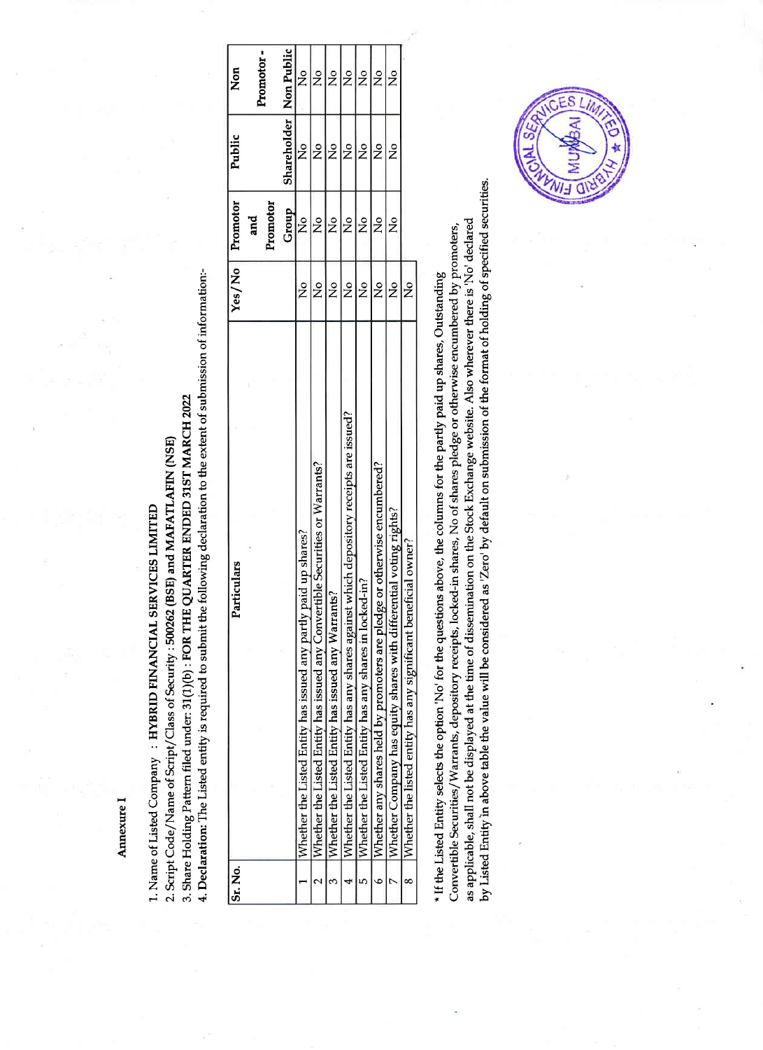Annexure I

4. Declaration: The Listed entity is required to submit the following declaration to the extent of submission of information:-3. Share Holding Pattern filed under: 31(1)(b) : FOR THE QUARTER ENDED 31ST MARCH 2022 2. Script Code/Name of Script/Class of Security: 500262 (BSE) and MAFATLAFIN (NSE) 1. Name of Listed Company: HYBRID FINANCIAL SERVICES LIMITED

|                                                        | Particulars                                                                            | Yes/No        | Promotor      | Public                   | Non           |  |
|--------------------------------------------------------|----------------------------------------------------------------------------------------|---------------|---------------|--------------------------|---------------|--|
|                                                        |                                                                                        |               | and           |                          |               |  |
|                                                        |                                                                                        |               | Promotor      |                          | Promotor-     |  |
|                                                        |                                                                                        |               | Group         | Shareholder   Non Public |               |  |
| Whether the Listed Entity has issued any partly $\mu$  | paid up shares?                                                                        | ž             | $\frac{1}{2}$ | $\frac{1}{2}$            | ž             |  |
|                                                        | Whether the Listed Entity has issued any Convertible Securities or Warrants?           | $\frac{1}{2}$ | ž             | $\frac{1}{2}$            | ż             |  |
| Whether the Listed Entity has issued any Warrants?     |                                                                                        | $\frac{1}{2}$ | $\frac{6}{5}$ | $\frac{1}{2}$            | ż             |  |
|                                                        | Whether the Listed Entity has any shares against which depository receipts are issued? | $\frac{1}{2}$ | $\frac{1}{2}$ | $\frac{1}{2}$            | ż             |  |
| Whether the Listed Entity has any shares in locked-in? |                                                                                        | $\frac{1}{2}$ | $\frac{6}{5}$ | $\frac{1}{2}$            | ž             |  |
|                                                        | Whether any shares held by promoters are pledge or otherwise encumbered?               | $\frac{1}{2}$ | $\frac{1}{2}$ | $\frac{1}{2}$            | $\frac{1}{2}$ |  |
|                                                        | Whether Company has equity shares with differential voting rights?                     | $\frac{1}{2}$ | ž             | $\frac{1}{2}$            | ş             |  |
|                                                        | Whether the listed entity has any significant beneficial owner?                        | ž             |               |                          |               |  |
|                                                        |                                                                                        |               |               |                          |               |  |

by Listed Entity in above table the value will be considered as 'Zero' by default on submission of the format of holding of specified securities. as applicable, shall not be displayed at the time of dissemination on the Stock Exchange website. Also wherever there is 'No' declared Convertible Securities/Warrants, depository receipts, locked-in shares, No of shares pledge or otherwise encumbered by promoters, \* If the Listed Entity selects the option 'No' for the questions above, the columns for the partly paid up shares, Outstanding

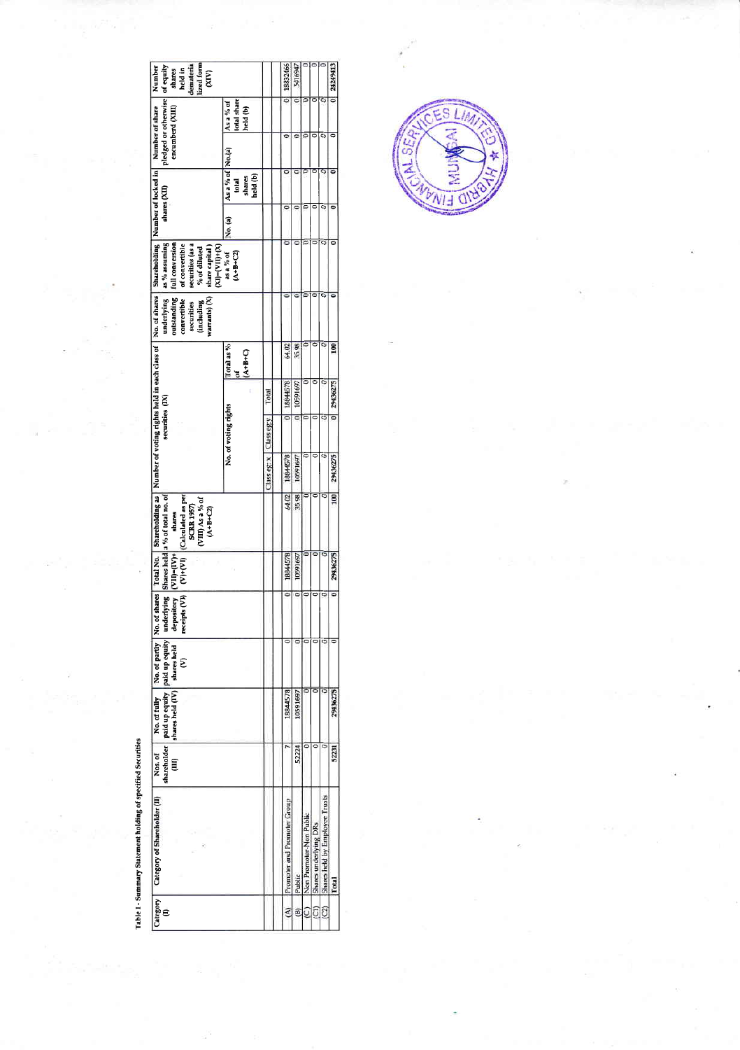| demateria<br>Lized form<br>of equity<br>Number<br>shares<br>held in<br>$\widetilde{\mathcal{E}}$                                                                                                                                                                                     |                                                 |             | 18832466                    | 5416947  |                         |                       |                                | 0 24249413     |
|--------------------------------------------------------------------------------------------------------------------------------------------------------------------------------------------------------------------------------------------------------------------------------------|-------------------------------------------------|-------------|-----------------------------|----------|-------------------------|-----------------------|--------------------------------|----------------|
| pledged or otherwise<br>Number of share<br>encumberd (XIII)                                                                                                                                                                                                                          | otal share<br>As a % of<br>held (b)             |             |                             |          |                         |                       |                                |                |
|                                                                                                                                                                                                                                                                                      |                                                 |             |                             |          |                         |                       |                                |                |
| shares (XII)                                                                                                                                                                                                                                                                         | As a % of No.(a)<br>held (b)<br>shares<br>Iotal |             |                             |          |                         |                       |                                |                |
|                                                                                                                                                                                                                                                                                      | No. (a)                                         |             | c                           | c        |                         |                       |                                |                |
| as % assuming<br>full conversion<br>securities (as a<br>of convertible<br>$(N+11N)$ = $(N)$<br>share capital)<br>% of diluted                                                                                                                                                        | as a $\%$ of<br>$(A + B + C2)$                  |             |                             |          |                         |                       |                                |                |
| warrants) (X)<br>outstanding<br>convertible<br>underlying<br>(including<br>securities                                                                                                                                                                                                |                                                 |             |                             |          |                         |                       |                                |                |
|                                                                                                                                                                                                                                                                                      | Total as %<br>$A + B + C$                       |             | 64.02                       | 35.98    |                         |                       |                                | $\overline{8}$ |
|                                                                                                                                                                                                                                                                                      |                                                 | Total       | 18844578                    | 10591697 |                         |                       |                                | 0 29436275     |
| securities (IX)                                                                                                                                                                                                                                                                      | No. of voting rights                            | Class eg:y  |                             |          |                         |                       |                                |                |
|                                                                                                                                                                                                                                                                                      |                                                 | Class eg: x | 18844578                    | 10591697 |                         |                       |                                | 29436275       |
| of shares   Total No.   Shareholding as   Number of voting rights held in each class of   No. of shares   Shareholding   Number of locked in  <br>Shares held a % of total no. of<br>(V)+(VI) (Calculated as per<br>VIII) As a % of<br><b>SCRR 1957)</b><br>$(A + B + C2)$<br>shares |                                                 |             | 64.02                       | 35.98    |                         |                       | ¢                              | 100            |
| VII                                                                                                                                                                                                                                                                                  |                                                 |             | 18844578                    | 10591697 |                         |                       |                                | 29436275       |
|                                                                                                                                                                                                                                                                                      |                                                 |             |                             |          |                         |                       |                                |                |
| No. of fully No. of partly No. o                                                                                                                                                                                                                                                     |                                                 |             |                             |          |                         |                       |                                |                |
| shareholder paid up equity paid up equity   underlying  <br>(III)   shares held (IV)   shares held   depository<br>(V)   receipts (V)                                                                                                                                                |                                                 |             | 18844578                    | 10591697 |                         |                       |                                | 29436275       |
| Nos. of                                                                                                                                                                                                                                                                              |                                                 |             |                             | 52224    |                         |                       |                                | 52231          |
| $\fbox{Categorical\atop(11)} \quad \fbox{Categorical\atop Categorical\atop(11)}$                                                                                                                                                                                                     |                                                 |             | Promoter and Promoter Group | Public   | Non Promoter-Non Public | Shares underlying DRs | Shares held by Employee Trusts | Total          |
|                                                                                                                                                                                                                                                                                      |                                                 |             | ŝ                           | ®)       | Q                       | ĉ                     | Û                              |                |



Table I - Summary Statement holding of specified Securities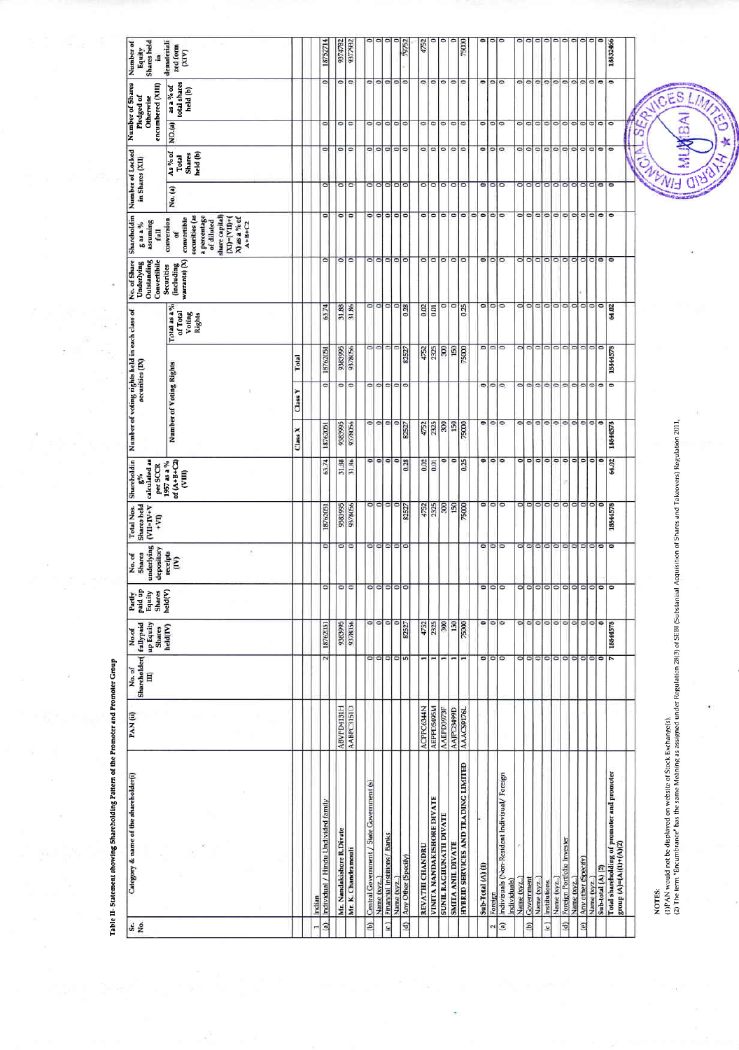| ۰<br>$\circ$<br>۰<br>۰<br>c<br>18832466<br>9377932<br>demateriali<br>18752714<br>zed form<br><b>(XIV)</b><br>۰<br>۰<br>$\circ$<br>$\circ$<br>۰<br>۰<br>$\circ$<br>$\circ$<br>۰<br>$\circ$<br>۰<br>۰<br>O<br>$\circ$<br>$\circ$<br>۰<br>$\circ$<br>$\circ$<br>$\circ$<br>$\circ$<br>$\circ$<br>۰<br>$\circ$<br>۰<br>۰<br>۰<br>as a % of<br>total shares<br>held (b)<br>NO.(a)<br>$\overline{\circ}$<br>۰<br>۰<br>o<br>$\circ$<br>$\circ$<br>$\circ$<br>$\circ$<br>۰<br>$\circ$<br>$\circ$<br>$\circ$<br>۰<br>۰<br>$\circ$<br>$\circ$<br>۰<br>$\circ$<br>$\circ$<br>$\circ$<br>$\circ$<br>$\circ$<br>$\circ$<br>$\circ$<br>۰<br>۰<br>ø<br>۰<br>۰<br>o<br>$\circ$<br>$\circ$<br>$\circ$<br>$\circ$<br>۰<br>۰<br>$\circ$<br>$\circ$<br>o<br>۰<br>O<br>۰<br>$\circ$<br>۰<br>۰<br>o<br>۰<br>$\circ$<br>$\circ$<br>۰<br>۰<br>۰<br>۰<br>ď.<br>۰<br>As % of<br>held (b)<br><b>Shares</b><br>Total<br>$\circ$<br>$\overline{\circ}$<br>$\overline{\phantom{0}}$<br>$\circ$<br>$\bullet$<br>۰<br>۰<br>۰<br>۰<br>۰<br>۰<br>۰<br>۰<br>۰<br>$\circ$<br>۰<br>۰<br>۰<br>$\circ$<br>$\circ$<br>이<br>۰<br>۰<br>۰<br>O<br>۰<br>۰<br>No. (a)<br>$\overline{\phantom{a}}$<br>$\overline{\phantom{a}}$<br>۰<br>$\circ$<br>۰<br>$\circ$<br>$\circ$<br>$\circ$<br>۰<br>۰<br>0<br>$\circ$<br>o<br>۰<br>$\circ$<br>۰<br>۰<br>o<br>۰<br>۰<br>۰<br>۰<br>۰<br>۰<br>$\circ$<br>۰<br>۰<br>0<br>securities (as<br>share capital)<br>a percentage<br>X) as a % of<br>conversion<br>convertible<br>$(NI V)$ = $(NI)$ +<br>of diluted<br>$A+BFC2$<br>ð<br>$\circ$<br>$\circ$<br>o<br>۰<br>$\circ$<br>۰<br>۰<br>$\circ$<br>۰<br>۰<br>$\overline{\bullet}$<br>$\circ$<br>$\circ$<br>۰<br>۰<br>۰<br>۰<br>۰<br>$\circ$<br>$\circ$<br>O<br>O<br>이<br>۰<br>۰<br>$\bullet$<br>۰<br>warrants) (X)<br>(including<br>Securities<br>۰<br>۰<br>$\circ$<br>$\circ$<br>۰<br>$\circ$<br>۰<br>۰<br>$\circ$<br>۰<br>۰<br>$\circ$<br>۰<br>$\circ$<br>۰<br>0.25<br>$\circ$<br>۰<br>0<br>64.02<br>Total as a %<br>63.74<br>31.88<br>31.86<br>0.28<br>0.02<br>0.01<br>of Total<br>Voting<br>Rights<br>$\circ$<br>۰<br>$\circ$<br>۰<br>$\circ$<br>۰<br>$\circ$<br>$\circ$<br>$\circ$<br>۰<br>$\circ$<br>9383995<br>۰<br>2325<br>80<br>150<br>75000<br>$\circ$<br>۰<br>۰<br>$\bullet$<br>18844578<br>9378056<br>4752<br>82527<br>18762051<br>Total<br>Number of Voting Rights<br> 0 <br>$\circ$<br>$\circ$<br>o<br>$\circ$<br>$\circ$<br>$\bullet$<br>ο<br>۰<br>۰<br>۰<br>$\circ$<br>۰<br>۰<br>$\circ$<br>۰<br>۰<br>$\circ$<br>۰<br>Class Y<br>۰<br>$\circ$<br>$\circ$<br>$\circ$<br>$\bullet$<br>$\circ$<br>$\circ$<br>$\circ$<br>۰<br>$\circ$<br>$\circ$<br>$\circ$<br>۰<br>۰<br>$\circ$<br>۰<br>2325<br>150<br>75000<br>18844578<br>9383995<br>4752<br> 8<br>9378056<br>82527<br>18762051<br>Class X<br>$\circ$<br>ø<br>$\circ$<br>$\circ$<br>$\overline{\phantom{a}}$<br>$\overline{0}$<br>۰<br>۰<br>O<br>$\circ$<br>$\circ$<br>۰<br>۰<br>$\circ$<br>$\circ$<br>64.02<br>۰<br>۰<br>0.25<br>63.74<br>31.88<br>0.28<br>0.02<br>0.01<br>of $(A+B+C2)$<br>31.86<br>1957 as a %<br>(MIA)<br>$\circ$<br>$\circ$  <br>$\bullet$<br>$\circ$<br>$\circ$<br>$\circ$<br>۰<br>$\circ$<br>۰<br>۰<br>$\circ$<br>$\circ$<br>۰<br>2325<br>900<br>150<br>75000<br>$\circ$<br>0<br>18844578<br>9383995<br>9378056<br>4752<br>82527<br>18762051<br>$\frac{1}{2}$<br>۰<br>۰<br>۰<br>۰<br>۰<br>۰<br>$\circ$<br>۰<br>۰<br>۰<br>۰<br>۰<br>۰<br>0<br>۰<br>۰<br>۰<br>۰<br>۰<br>$\bullet$<br>×<br>receipts<br>(IV)<br>$\vert \circ \vert$<br>$ $ o $ $ o $ $<br> 0 0 0 0<br> 0 0 0<br>$000000000$<br>$\bullet$<br>$\circ$<br>e<br>$\circ$<br>held(V)<br>$\circ$<br>$\frac{1}{2}$<br>$\bullet$<br>$\frac{1}{2}$<br>$\circ$<br> 0 <br>$\circ$<br>0 <sub>0</sub><br>이<br>$\circ$<br>2325<br>300<br>150<br>75000<br>۰<br>18844578<br>9383995<br>4752<br>9378056<br>18762051<br>82527<br>held(V)<br>$\circ$<br>۰<br>$\circ$<br>$\circ$<br>۰<br>$\circ$<br>۰<br>o<br>$\circ$<br>$\circ$<br>۰<br>۰<br>7<br>$\omega$<br><b>in</b><br>$\circ$<br>$\circ$<br>$\circ$<br>۰<br><b>ABVPD4131H</b><br><b>AEPPD5495M</b><br>AABPC3151D<br>ACPPC6344N<br>AAACS9176L<br><b>AAEPD3973F</b><br><b>G66FGLIVV</b><br>HYBRID SERVICES AND TRADING LIMITED<br>Total shareholding of promoter and promoter<br>Indivisuals (Non-Resident Indivisual/ Foreign<br>Central Covernment / State Covernment (s)<br>VINITA NANDAKISHORE DIVATE<br>Individual / Hindu Undivided family<br>SUNIL RAGHUNATH DIVATE<br>Mr. Nandakishore R.Divate<br>Financial Institions/ Banks<br>Foreign Portfolio Invester<br>group $(A)=(A)(1)+(A)(2)$<br><b>SMITA ANIL DIVATE</b><br>REVATHI CHANDRU<br>Mr. K. Chandramouli<br>$\overline{\phantom{a}}$<br>Any Other (Specify)<br>Any other (Specify)<br>Sub-Total (A) (1)<br>Sub-total (A) (2)<br>Government<br>Name (xyz.)<br>Name (xyz)<br>Name (xyz)<br>Name (xyz)<br>Name (xyz.)<br>Individuals)<br>Name (xyz)<br>Name (xyz<br>Institutions<br>Foreign<br>Indian<br>(b)<br>$\epsilon$<br>$\Theta$<br>$\frac{2}{3}$<br>디<br>$\mathbf{d}$<br>O<br>$\epsilon$<br>۳ | VICES<br>œ<br><b>CAVENIE</b><br>(1)PAN would not be displayed on website of Stock Exchange(s).<br>(2) The term "Encumbrance" has the same Meaning as assigned under Regulation 28(3) of SEBI (Substantial<br>NOTES: | si g | Category & name of the shareholder(i) | PAN(ii) | Shareholder<br>No.of<br>E | fullypaid<br>up Equity<br>Shares<br>No.of | Partly<br>paid up<br>Equity<br>Shares | underlying<br>depository<br>Shares<br>No. of | Shares held<br>$V+V=IV+V$<br>Total Nos.<br>ŗVI | Shareholdin<br>$\left \frac{g^{o_0}}{calated as}\right $<br>per SCCR | securities (IX) | Number of voting rights held in each class of | No. of Share<br>Outstanding<br>Convertibile<br>Underlying | Shareholdin<br>assuming<br>$8$ as a $\%$<br>Ē | Number of Locked<br>in Shares (XII) | Number of Shares<br>encumbered (XIII)<br>Pledged of<br>Otherwise | Shares held<br>Number of<br>Equity<br>s |
|---------------------------------------------------------------------------------------------------------------------------------------------------------------------------------------------------------------------------------------------------------------------------------------------------------------------------------------------------------------------------------------------------------------------------------------------------------------------------------------------------------------------------------------------------------------------------------------------------------------------------------------------------------------------------------------------------------------------------------------------------------------------------------------------------------------------------------------------------------------------------------------------------------------------------------------------------------------------------------------------------------------------------------------------------------------------------------------------------------------------------------------------------------------------------------------------------------------------------------------------------------------------------------------------------------------------------------------------------------------------------------------------------------------------------------------------------------------------------------------------------------------------------------------------------------------------------------------------------------------------------------------------------------------------------------------------------------------------------------------------------------------------------------------------------------------------------------------------------------------------------------------------------------------------------------------------------------------------------------------------------------------------------------------------------------------------------------------------------------------------------------------------------------------------------------------------------------------------------------------------------------------------------------------------------------------------------------------------------------------------------------------------------------------------------------------------------------------------------------------------------------------------------------------------------------------------------------------------------------------------------------------------------------------------------------------------------------------------------------------------------------------------------------------------------------------------------------------------------------------------------------------------------------------------------------------------------------------------------------------------------------------------------------------------------------------------------------------------------------------------------------------------------------------------------------------------------------------------------------------------------------------------------------------------------------------------------------------------------------------------------------------------------------------------------------------------------------------------------------------------------------------------------------------------------------------------------------------------------------------------------------------------------------------------------------------------------------------------------------------------------------------------------------------------------------------------------------------------------------------------------------------------------------------------------------------------------------------------------------------------------------------------------------------------------------------------------------------------------------------------------------------------------------------------------------------------------------------------------------------------------------------------------------------------------------------------------------------------------------------------------------------------------------------------------------------------------------------------------------------------------------------------------------------------------------------------------------------------------------------------------------------------------------------------------------------------------------------------------------------------------------------------------------------------------------------------------------------------------------------------------------------------------------------------------------------------------------------------------------------|---------------------------------------------------------------------------------------------------------------------------------------------------------------------------------------------------------------------|------|---------------------------------------|---------|---------------------------|-------------------------------------------|---------------------------------------|----------------------------------------------|------------------------------------------------|----------------------------------------------------------------------|-----------------|-----------------------------------------------|-----------------------------------------------------------|-----------------------------------------------|-------------------------------------|------------------------------------------------------------------|-----------------------------------------|
| 4752<br>75000<br>9374782<br>79752                                                                                                                                                                                                                                                                                                                                                                                                                                                                                                                                                                                                                                                                                                                                                                                                                                                                                                                                                                                                                                                                                                                                                                                                                                                                                                                                                                                                                                                                                                                                                                                                                                                                                                                                                                                                                                                                                                                                                                                                                                                                                                                                                                                                                                                                                                                                                                                                                                                                                                                                                                                                                                                                                                                                                                                                                                                                                                                                                                                                                                                                                                                                                                                                                                                                                                                                                                                                                                                                                                                                                                                                                                                                                                                                                                                                                                                                                                                                                                                                                                                                                                                                                                                                                                                                                                                                                                                                                                                                                                                                                                                                                                                                                                                                                                                                                                                                                                                                                     |                                                                                                                                                                                                                     |      |                                       |         |                           |                                           |                                       |                                              |                                                |                                                                      |                 |                                               |                                                           |                                               |                                     |                                                                  |                                         |
|                                                                                                                                                                                                                                                                                                                                                                                                                                                                                                                                                                                                                                                                                                                                                                                                                                                                                                                                                                                                                                                                                                                                                                                                                                                                                                                                                                                                                                                                                                                                                                                                                                                                                                                                                                                                                                                                                                                                                                                                                                                                                                                                                                                                                                                                                                                                                                                                                                                                                                                                                                                                                                                                                                                                                                                                                                                                                                                                                                                                                                                                                                                                                                                                                                                                                                                                                                                                                                                                                                                                                                                                                                                                                                                                                                                                                                                                                                                                                                                                                                                                                                                                                                                                                                                                                                                                                                                                                                                                                                                                                                                                                                                                                                                                                                                                                                                                                                                                                                                       |                                                                                                                                                                                                                     |      |                                       |         |                           |                                           |                                       |                                              |                                                |                                                                      |                 |                                               |                                                           |                                               |                                     |                                                                  |                                         |
|                                                                                                                                                                                                                                                                                                                                                                                                                                                                                                                                                                                                                                                                                                                                                                                                                                                                                                                                                                                                                                                                                                                                                                                                                                                                                                                                                                                                                                                                                                                                                                                                                                                                                                                                                                                                                                                                                                                                                                                                                                                                                                                                                                                                                                                                                                                                                                                                                                                                                                                                                                                                                                                                                                                                                                                                                                                                                                                                                                                                                                                                                                                                                                                                                                                                                                                                                                                                                                                                                                                                                                                                                                                                                                                                                                                                                                                                                                                                                                                                                                                                                                                                                                                                                                                                                                                                                                                                                                                                                                                                                                                                                                                                                                                                                                                                                                                                                                                                                                                       |                                                                                                                                                                                                                     |      |                                       |         |                           |                                           |                                       |                                              |                                                |                                                                      |                 |                                               |                                                           |                                               |                                     |                                                                  |                                         |
|                                                                                                                                                                                                                                                                                                                                                                                                                                                                                                                                                                                                                                                                                                                                                                                                                                                                                                                                                                                                                                                                                                                                                                                                                                                                                                                                                                                                                                                                                                                                                                                                                                                                                                                                                                                                                                                                                                                                                                                                                                                                                                                                                                                                                                                                                                                                                                                                                                                                                                                                                                                                                                                                                                                                                                                                                                                                                                                                                                                                                                                                                                                                                                                                                                                                                                                                                                                                                                                                                                                                                                                                                                                                                                                                                                                                                                                                                                                                                                                                                                                                                                                                                                                                                                                                                                                                                                                                                                                                                                                                                                                                                                                                                                                                                                                                                                                                                                                                                                                       |                                                                                                                                                                                                                     | q    |                                       |         |                           |                                           |                                       |                                              |                                                |                                                                      |                 |                                               |                                                           |                                               |                                     |                                                                  |                                         |
|                                                                                                                                                                                                                                                                                                                                                                                                                                                                                                                                                                                                                                                                                                                                                                                                                                                                                                                                                                                                                                                                                                                                                                                                                                                                                                                                                                                                                                                                                                                                                                                                                                                                                                                                                                                                                                                                                                                                                                                                                                                                                                                                                                                                                                                                                                                                                                                                                                                                                                                                                                                                                                                                                                                                                                                                                                                                                                                                                                                                                                                                                                                                                                                                                                                                                                                                                                                                                                                                                                                                                                                                                                                                                                                                                                                                                                                                                                                                                                                                                                                                                                                                                                                                                                                                                                                                                                                                                                                                                                                                                                                                                                                                                                                                                                                                                                                                                                                                                                                       |                                                                                                                                                                                                                     |      |                                       |         |                           |                                           |                                       |                                              |                                                |                                                                      |                 |                                               |                                                           |                                               |                                     |                                                                  |                                         |
|                                                                                                                                                                                                                                                                                                                                                                                                                                                                                                                                                                                                                                                                                                                                                                                                                                                                                                                                                                                                                                                                                                                                                                                                                                                                                                                                                                                                                                                                                                                                                                                                                                                                                                                                                                                                                                                                                                                                                                                                                                                                                                                                                                                                                                                                                                                                                                                                                                                                                                                                                                                                                                                                                                                                                                                                                                                                                                                                                                                                                                                                                                                                                                                                                                                                                                                                                                                                                                                                                                                                                                                                                                                                                                                                                                                                                                                                                                                                                                                                                                                                                                                                                                                                                                                                                                                                                                                                                                                                                                                                                                                                                                                                                                                                                                                                                                                                                                                                                                                       |                                                                                                                                                                                                                     |      |                                       |         |                           |                                           |                                       |                                              |                                                |                                                                      |                 |                                               |                                                           |                                               |                                     |                                                                  |                                         |
|                                                                                                                                                                                                                                                                                                                                                                                                                                                                                                                                                                                                                                                                                                                                                                                                                                                                                                                                                                                                                                                                                                                                                                                                                                                                                                                                                                                                                                                                                                                                                                                                                                                                                                                                                                                                                                                                                                                                                                                                                                                                                                                                                                                                                                                                                                                                                                                                                                                                                                                                                                                                                                                                                                                                                                                                                                                                                                                                                                                                                                                                                                                                                                                                                                                                                                                                                                                                                                                                                                                                                                                                                                                                                                                                                                                                                                                                                                                                                                                                                                                                                                                                                                                                                                                                                                                                                                                                                                                                                                                                                                                                                                                                                                                                                                                                                                                                                                                                                                                       |                                                                                                                                                                                                                     |      |                                       |         |                           |                                           |                                       |                                              |                                                |                                                                      |                 |                                               |                                                           |                                               |                                     |                                                                  |                                         |
|                                                                                                                                                                                                                                                                                                                                                                                                                                                                                                                                                                                                                                                                                                                                                                                                                                                                                                                                                                                                                                                                                                                                                                                                                                                                                                                                                                                                                                                                                                                                                                                                                                                                                                                                                                                                                                                                                                                                                                                                                                                                                                                                                                                                                                                                                                                                                                                                                                                                                                                                                                                                                                                                                                                                                                                                                                                                                                                                                                                                                                                                                                                                                                                                                                                                                                                                                                                                                                                                                                                                                                                                                                                                                                                                                                                                                                                                                                                                                                                                                                                                                                                                                                                                                                                                                                                                                                                                                                                                                                                                                                                                                                                                                                                                                                                                                                                                                                                                                                                       |                                                                                                                                                                                                                     |      |                                       |         |                           |                                           |                                       |                                              |                                                |                                                                      |                 |                                               |                                                           |                                               |                                     |                                                                  |                                         |
|                                                                                                                                                                                                                                                                                                                                                                                                                                                                                                                                                                                                                                                                                                                                                                                                                                                                                                                                                                                                                                                                                                                                                                                                                                                                                                                                                                                                                                                                                                                                                                                                                                                                                                                                                                                                                                                                                                                                                                                                                                                                                                                                                                                                                                                                                                                                                                                                                                                                                                                                                                                                                                                                                                                                                                                                                                                                                                                                                                                                                                                                                                                                                                                                                                                                                                                                                                                                                                                                                                                                                                                                                                                                                                                                                                                                                                                                                                                                                                                                                                                                                                                                                                                                                                                                                                                                                                                                                                                                                                                                                                                                                                                                                                                                                                                                                                                                                                                                                                                       |                                                                                                                                                                                                                     |      |                                       |         |                           |                                           |                                       |                                              |                                                |                                                                      |                 |                                               |                                                           |                                               |                                     |                                                                  |                                         |
|                                                                                                                                                                                                                                                                                                                                                                                                                                                                                                                                                                                                                                                                                                                                                                                                                                                                                                                                                                                                                                                                                                                                                                                                                                                                                                                                                                                                                                                                                                                                                                                                                                                                                                                                                                                                                                                                                                                                                                                                                                                                                                                                                                                                                                                                                                                                                                                                                                                                                                                                                                                                                                                                                                                                                                                                                                                                                                                                                                                                                                                                                                                                                                                                                                                                                                                                                                                                                                                                                                                                                                                                                                                                                                                                                                                                                                                                                                                                                                                                                                                                                                                                                                                                                                                                                                                                                                                                                                                                                                                                                                                                                                                                                                                                                                                                                                                                                                                                                                                       |                                                                                                                                                                                                                     |      |                                       |         |                           |                                           |                                       |                                              |                                                |                                                                      |                 |                                               |                                                           |                                               |                                     |                                                                  |                                         |
|                                                                                                                                                                                                                                                                                                                                                                                                                                                                                                                                                                                                                                                                                                                                                                                                                                                                                                                                                                                                                                                                                                                                                                                                                                                                                                                                                                                                                                                                                                                                                                                                                                                                                                                                                                                                                                                                                                                                                                                                                                                                                                                                                                                                                                                                                                                                                                                                                                                                                                                                                                                                                                                                                                                                                                                                                                                                                                                                                                                                                                                                                                                                                                                                                                                                                                                                                                                                                                                                                                                                                                                                                                                                                                                                                                                                                                                                                                                                                                                                                                                                                                                                                                                                                                                                                                                                                                                                                                                                                                                                                                                                                                                                                                                                                                                                                                                                                                                                                                                       |                                                                                                                                                                                                                     |      |                                       |         |                           |                                           |                                       |                                              |                                                |                                                                      |                 |                                               |                                                           |                                               |                                     |                                                                  |                                         |
|                                                                                                                                                                                                                                                                                                                                                                                                                                                                                                                                                                                                                                                                                                                                                                                                                                                                                                                                                                                                                                                                                                                                                                                                                                                                                                                                                                                                                                                                                                                                                                                                                                                                                                                                                                                                                                                                                                                                                                                                                                                                                                                                                                                                                                                                                                                                                                                                                                                                                                                                                                                                                                                                                                                                                                                                                                                                                                                                                                                                                                                                                                                                                                                                                                                                                                                                                                                                                                                                                                                                                                                                                                                                                                                                                                                                                                                                                                                                                                                                                                                                                                                                                                                                                                                                                                                                                                                                                                                                                                                                                                                                                                                                                                                                                                                                                                                                                                                                                                                       |                                                                                                                                                                                                                     |      |                                       |         |                           |                                           |                                       |                                              |                                                |                                                                      |                 |                                               |                                                           |                                               |                                     |                                                                  |                                         |
|                                                                                                                                                                                                                                                                                                                                                                                                                                                                                                                                                                                                                                                                                                                                                                                                                                                                                                                                                                                                                                                                                                                                                                                                                                                                                                                                                                                                                                                                                                                                                                                                                                                                                                                                                                                                                                                                                                                                                                                                                                                                                                                                                                                                                                                                                                                                                                                                                                                                                                                                                                                                                                                                                                                                                                                                                                                                                                                                                                                                                                                                                                                                                                                                                                                                                                                                                                                                                                                                                                                                                                                                                                                                                                                                                                                                                                                                                                                                                                                                                                                                                                                                                                                                                                                                                                                                                                                                                                                                                                                                                                                                                                                                                                                                                                                                                                                                                                                                                                                       |                                                                                                                                                                                                                     |      |                                       |         |                           |                                           |                                       |                                              |                                                |                                                                      |                 |                                               |                                                           |                                               |                                     |                                                                  |                                         |
|                                                                                                                                                                                                                                                                                                                                                                                                                                                                                                                                                                                                                                                                                                                                                                                                                                                                                                                                                                                                                                                                                                                                                                                                                                                                                                                                                                                                                                                                                                                                                                                                                                                                                                                                                                                                                                                                                                                                                                                                                                                                                                                                                                                                                                                                                                                                                                                                                                                                                                                                                                                                                                                                                                                                                                                                                                                                                                                                                                                                                                                                                                                                                                                                                                                                                                                                                                                                                                                                                                                                                                                                                                                                                                                                                                                                                                                                                                                                                                                                                                                                                                                                                                                                                                                                                                                                                                                                                                                                                                                                                                                                                                                                                                                                                                                                                                                                                                                                                                                       |                                                                                                                                                                                                                     |      |                                       |         |                           |                                           |                                       |                                              |                                                |                                                                      |                 |                                               |                                                           |                                               |                                     |                                                                  |                                         |
|                                                                                                                                                                                                                                                                                                                                                                                                                                                                                                                                                                                                                                                                                                                                                                                                                                                                                                                                                                                                                                                                                                                                                                                                                                                                                                                                                                                                                                                                                                                                                                                                                                                                                                                                                                                                                                                                                                                                                                                                                                                                                                                                                                                                                                                                                                                                                                                                                                                                                                                                                                                                                                                                                                                                                                                                                                                                                                                                                                                                                                                                                                                                                                                                                                                                                                                                                                                                                                                                                                                                                                                                                                                                                                                                                                                                                                                                                                                                                                                                                                                                                                                                                                                                                                                                                                                                                                                                                                                                                                                                                                                                                                                                                                                                                                                                                                                                                                                                                                                       |                                                                                                                                                                                                                     |      |                                       |         |                           |                                           |                                       |                                              |                                                |                                                                      |                 |                                               |                                                           |                                               |                                     |                                                                  |                                         |
|                                                                                                                                                                                                                                                                                                                                                                                                                                                                                                                                                                                                                                                                                                                                                                                                                                                                                                                                                                                                                                                                                                                                                                                                                                                                                                                                                                                                                                                                                                                                                                                                                                                                                                                                                                                                                                                                                                                                                                                                                                                                                                                                                                                                                                                                                                                                                                                                                                                                                                                                                                                                                                                                                                                                                                                                                                                                                                                                                                                                                                                                                                                                                                                                                                                                                                                                                                                                                                                                                                                                                                                                                                                                                                                                                                                                                                                                                                                                                                                                                                                                                                                                                                                                                                                                                                                                                                                                                                                                                                                                                                                                                                                                                                                                                                                                                                                                                                                                                                                       |                                                                                                                                                                                                                     |      |                                       |         |                           |                                           |                                       |                                              |                                                |                                                                      |                 |                                               |                                                           |                                               |                                     |                                                                  |                                         |
|                                                                                                                                                                                                                                                                                                                                                                                                                                                                                                                                                                                                                                                                                                                                                                                                                                                                                                                                                                                                                                                                                                                                                                                                                                                                                                                                                                                                                                                                                                                                                                                                                                                                                                                                                                                                                                                                                                                                                                                                                                                                                                                                                                                                                                                                                                                                                                                                                                                                                                                                                                                                                                                                                                                                                                                                                                                                                                                                                                                                                                                                                                                                                                                                                                                                                                                                                                                                                                                                                                                                                                                                                                                                                                                                                                                                                                                                                                                                                                                                                                                                                                                                                                                                                                                                                                                                                                                                                                                                                                                                                                                                                                                                                                                                                                                                                                                                                                                                                                                       |                                                                                                                                                                                                                     |      |                                       |         |                           |                                           |                                       |                                              |                                                |                                                                      |                 |                                               |                                                           |                                               |                                     |                                                                  |                                         |
|                                                                                                                                                                                                                                                                                                                                                                                                                                                                                                                                                                                                                                                                                                                                                                                                                                                                                                                                                                                                                                                                                                                                                                                                                                                                                                                                                                                                                                                                                                                                                                                                                                                                                                                                                                                                                                                                                                                                                                                                                                                                                                                                                                                                                                                                                                                                                                                                                                                                                                                                                                                                                                                                                                                                                                                                                                                                                                                                                                                                                                                                                                                                                                                                                                                                                                                                                                                                                                                                                                                                                                                                                                                                                                                                                                                                                                                                                                                                                                                                                                                                                                                                                                                                                                                                                                                                                                                                                                                                                                                                                                                                                                                                                                                                                                                                                                                                                                                                                                                       |                                                                                                                                                                                                                     |      |                                       |         |                           |                                           |                                       |                                              |                                                |                                                                      |                 |                                               |                                                           |                                               |                                     |                                                                  |                                         |
|                                                                                                                                                                                                                                                                                                                                                                                                                                                                                                                                                                                                                                                                                                                                                                                                                                                                                                                                                                                                                                                                                                                                                                                                                                                                                                                                                                                                                                                                                                                                                                                                                                                                                                                                                                                                                                                                                                                                                                                                                                                                                                                                                                                                                                                                                                                                                                                                                                                                                                                                                                                                                                                                                                                                                                                                                                                                                                                                                                                                                                                                                                                                                                                                                                                                                                                                                                                                                                                                                                                                                                                                                                                                                                                                                                                                                                                                                                                                                                                                                                                                                                                                                                                                                                                                                                                                                                                                                                                                                                                                                                                                                                                                                                                                                                                                                                                                                                                                                                                       |                                                                                                                                                                                                                     |      |                                       |         |                           |                                           |                                       |                                              |                                                |                                                                      |                 |                                               |                                                           |                                               |                                     |                                                                  |                                         |
|                                                                                                                                                                                                                                                                                                                                                                                                                                                                                                                                                                                                                                                                                                                                                                                                                                                                                                                                                                                                                                                                                                                                                                                                                                                                                                                                                                                                                                                                                                                                                                                                                                                                                                                                                                                                                                                                                                                                                                                                                                                                                                                                                                                                                                                                                                                                                                                                                                                                                                                                                                                                                                                                                                                                                                                                                                                                                                                                                                                                                                                                                                                                                                                                                                                                                                                                                                                                                                                                                                                                                                                                                                                                                                                                                                                                                                                                                                                                                                                                                                                                                                                                                                                                                                                                                                                                                                                                                                                                                                                                                                                                                                                                                                                                                                                                                                                                                                                                                                                       |                                                                                                                                                                                                                     |      |                                       |         |                           |                                           |                                       |                                              |                                                |                                                                      |                 |                                               |                                                           |                                               |                                     |                                                                  |                                         |
|                                                                                                                                                                                                                                                                                                                                                                                                                                                                                                                                                                                                                                                                                                                                                                                                                                                                                                                                                                                                                                                                                                                                                                                                                                                                                                                                                                                                                                                                                                                                                                                                                                                                                                                                                                                                                                                                                                                                                                                                                                                                                                                                                                                                                                                                                                                                                                                                                                                                                                                                                                                                                                                                                                                                                                                                                                                                                                                                                                                                                                                                                                                                                                                                                                                                                                                                                                                                                                                                                                                                                                                                                                                                                                                                                                                                                                                                                                                                                                                                                                                                                                                                                                                                                                                                                                                                                                                                                                                                                                                                                                                                                                                                                                                                                                                                                                                                                                                                                                                       |                                                                                                                                                                                                                     |      |                                       |         |                           |                                           |                                       |                                              |                                                |                                                                      |                 |                                               |                                                           |                                               |                                     |                                                                  |                                         |
|                                                                                                                                                                                                                                                                                                                                                                                                                                                                                                                                                                                                                                                                                                                                                                                                                                                                                                                                                                                                                                                                                                                                                                                                                                                                                                                                                                                                                                                                                                                                                                                                                                                                                                                                                                                                                                                                                                                                                                                                                                                                                                                                                                                                                                                                                                                                                                                                                                                                                                                                                                                                                                                                                                                                                                                                                                                                                                                                                                                                                                                                                                                                                                                                                                                                                                                                                                                                                                                                                                                                                                                                                                                                                                                                                                                                                                                                                                                                                                                                                                                                                                                                                                                                                                                                                                                                                                                                                                                                                                                                                                                                                                                                                                                                                                                                                                                                                                                                                                                       |                                                                                                                                                                                                                     |      |                                       |         |                           |                                           |                                       |                                              |                                                |                                                                      |                 |                                               |                                                           |                                               |                                     |                                                                  |                                         |
|                                                                                                                                                                                                                                                                                                                                                                                                                                                                                                                                                                                                                                                                                                                                                                                                                                                                                                                                                                                                                                                                                                                                                                                                                                                                                                                                                                                                                                                                                                                                                                                                                                                                                                                                                                                                                                                                                                                                                                                                                                                                                                                                                                                                                                                                                                                                                                                                                                                                                                                                                                                                                                                                                                                                                                                                                                                                                                                                                                                                                                                                                                                                                                                                                                                                                                                                                                                                                                                                                                                                                                                                                                                                                                                                                                                                                                                                                                                                                                                                                                                                                                                                                                                                                                                                                                                                                                                                                                                                                                                                                                                                                                                                                                                                                                                                                                                                                                                                                                                       |                                                                                                                                                                                                                     |      |                                       |         |                           |                                           |                                       |                                              |                                                |                                                                      |                 |                                               |                                                           |                                               |                                     |                                                                  |                                         |
|                                                                                                                                                                                                                                                                                                                                                                                                                                                                                                                                                                                                                                                                                                                                                                                                                                                                                                                                                                                                                                                                                                                                                                                                                                                                                                                                                                                                                                                                                                                                                                                                                                                                                                                                                                                                                                                                                                                                                                                                                                                                                                                                                                                                                                                                                                                                                                                                                                                                                                                                                                                                                                                                                                                                                                                                                                                                                                                                                                                                                                                                                                                                                                                                                                                                                                                                                                                                                                                                                                                                                                                                                                                                                                                                                                                                                                                                                                                                                                                                                                                                                                                                                                                                                                                                                                                                                                                                                                                                                                                                                                                                                                                                                                                                                                                                                                                                                                                                                                                       |                                                                                                                                                                                                                     |      |                                       |         |                           |                                           |                                       |                                              |                                                |                                                                      |                 |                                               |                                                           |                                               |                                     |                                                                  |                                         |
|                                                                                                                                                                                                                                                                                                                                                                                                                                                                                                                                                                                                                                                                                                                                                                                                                                                                                                                                                                                                                                                                                                                                                                                                                                                                                                                                                                                                                                                                                                                                                                                                                                                                                                                                                                                                                                                                                                                                                                                                                                                                                                                                                                                                                                                                                                                                                                                                                                                                                                                                                                                                                                                                                                                                                                                                                                                                                                                                                                                                                                                                                                                                                                                                                                                                                                                                                                                                                                                                                                                                                                                                                                                                                                                                                                                                                                                                                                                                                                                                                                                                                                                                                                                                                                                                                                                                                                                                                                                                                                                                                                                                                                                                                                                                                                                                                                                                                                                                                                                       |                                                                                                                                                                                                                     |      |                                       |         |                           |                                           |                                       |                                              |                                                |                                                                      |                 |                                               |                                                           |                                               |                                     |                                                                  |                                         |
|                                                                                                                                                                                                                                                                                                                                                                                                                                                                                                                                                                                                                                                                                                                                                                                                                                                                                                                                                                                                                                                                                                                                                                                                                                                                                                                                                                                                                                                                                                                                                                                                                                                                                                                                                                                                                                                                                                                                                                                                                                                                                                                                                                                                                                                                                                                                                                                                                                                                                                                                                                                                                                                                                                                                                                                                                                                                                                                                                                                                                                                                                                                                                                                                                                                                                                                                                                                                                                                                                                                                                                                                                                                                                                                                                                                                                                                                                                                                                                                                                                                                                                                                                                                                                                                                                                                                                                                                                                                                                                                                                                                                                                                                                                                                                                                                                                                                                                                                                                                       |                                                                                                                                                                                                                     |      |                                       |         |                           |                                           |                                       |                                              |                                                |                                                                      |                 |                                               |                                                           |                                               |                                     |                                                                  |                                         |
|                                                                                                                                                                                                                                                                                                                                                                                                                                                                                                                                                                                                                                                                                                                                                                                                                                                                                                                                                                                                                                                                                                                                                                                                                                                                                                                                                                                                                                                                                                                                                                                                                                                                                                                                                                                                                                                                                                                                                                                                                                                                                                                                                                                                                                                                                                                                                                                                                                                                                                                                                                                                                                                                                                                                                                                                                                                                                                                                                                                                                                                                                                                                                                                                                                                                                                                                                                                                                                                                                                                                                                                                                                                                                                                                                                                                                                                                                                                                                                                                                                                                                                                                                                                                                                                                                                                                                                                                                                                                                                                                                                                                                                                                                                                                                                                                                                                                                                                                                                                       |                                                                                                                                                                                                                     |      |                                       |         |                           |                                           |                                       |                                              |                                                |                                                                      |                 |                                               |                                                           |                                               |                                     |                                                                  |                                         |
|                                                                                                                                                                                                                                                                                                                                                                                                                                                                                                                                                                                                                                                                                                                                                                                                                                                                                                                                                                                                                                                                                                                                                                                                                                                                                                                                                                                                                                                                                                                                                                                                                                                                                                                                                                                                                                                                                                                                                                                                                                                                                                                                                                                                                                                                                                                                                                                                                                                                                                                                                                                                                                                                                                                                                                                                                                                                                                                                                                                                                                                                                                                                                                                                                                                                                                                                                                                                                                                                                                                                                                                                                                                                                                                                                                                                                                                                                                                                                                                                                                                                                                                                                                                                                                                                                                                                                                                                                                                                                                                                                                                                                                                                                                                                                                                                                                                                                                                                                                                       |                                                                                                                                                                                                                     |      |                                       |         |                           |                                           |                                       |                                              |                                                |                                                                      |                 |                                               |                                                           |                                               |                                     |                                                                  |                                         |
|                                                                                                                                                                                                                                                                                                                                                                                                                                                                                                                                                                                                                                                                                                                                                                                                                                                                                                                                                                                                                                                                                                                                                                                                                                                                                                                                                                                                                                                                                                                                                                                                                                                                                                                                                                                                                                                                                                                                                                                                                                                                                                                                                                                                                                                                                                                                                                                                                                                                                                                                                                                                                                                                                                                                                                                                                                                                                                                                                                                                                                                                                                                                                                                                                                                                                                                                                                                                                                                                                                                                                                                                                                                                                                                                                                                                                                                                                                                                                                                                                                                                                                                                                                                                                                                                                                                                                                                                                                                                                                                                                                                                                                                                                                                                                                                                                                                                                                                                                                                       |                                                                                                                                                                                                                     |      |                                       |         |                           |                                           |                                       |                                              |                                                |                                                                      |                 |                                               |                                                           |                                               |                                     |                                                                  |                                         |

 $\frac{a}{a^2} \times 10^2$ 

 $\tilde{\eta}$ 

 $\vec{a}^{\prime}$ 

BAI

(2) The term "Encumbrance"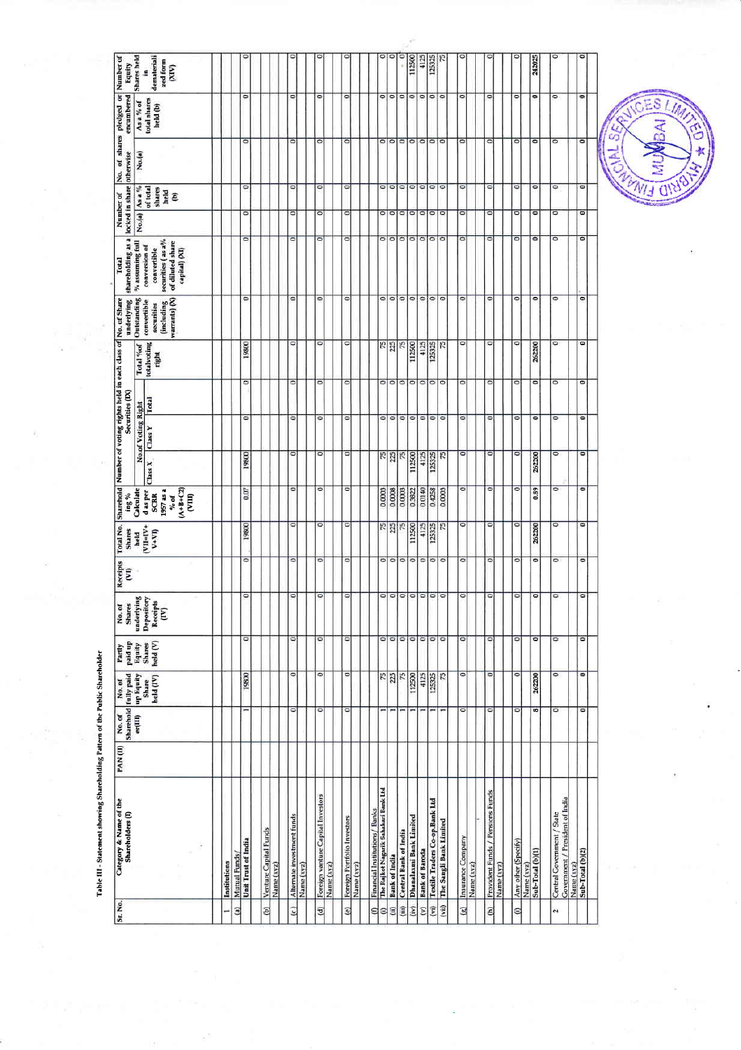| <b>Service model</b> |
|----------------------|
|----------------------|

| No.(a)<br>o<br>۰<br>۰<br>۰<br>۰<br>۰<br>$\circ$<br>o<br>۰<br>۰<br>o<br>O<br>$\circ$<br>۰<br>0<br>۰<br>$\bullet$<br>ö<br>۰<br>$\circ$<br>$\bullet$<br>۰<br>۰<br>$\circ$<br>$\circ$<br>۰<br>$\circ$<br>$\circ$<br>۰<br>۰<br>$\circ$<br>۰<br>$\circ$<br>۰<br>$\frac{9}{6}$ assuming full<br>securities (as a%<br>of diluted share<br>conversion of<br>capital) (XI)<br>convertible<br>$\overline{\phantom{a}}$<br>۰<br>۰<br>۰<br>ο<br>$\circ$<br>$\circ$<br>۰<br>$\bullet$<br>۰<br>۰<br>۰<br>۰<br>٥<br>٥<br>۰<br>۰<br>Outstanding<br>(including<br>warrants) $\langle X\rangle$<br>convertible<br>securities<br>۰<br>۰<br>۰<br>۰<br>۰<br>O<br>۰<br>۰<br>262200<br>totalvoting<br>19800<br>$rac{75}{225}$<br>75<br>112500<br>4125<br>125325<br>15<br>Total %of<br>right<br>$\overline{\phantom{a}}$<br>미디<br>$\bullet$<br>۰<br>۰<br>۰<br>$\circ$<br>$\circ$<br>$\circ$<br>۰<br>$\circ$<br>۰<br>۰<br>۰<br>۰<br>۰<br><b>Total</b><br>No.of Voting Right<br>ō<br>۰<br>۰<br>ö<br>۰<br>۰<br>۰<br>0<br>۰<br>۰<br>۰<br>۰<br>۰<br>$\circ$<br>۰<br>۰<br>۰<br>Class Y<br>$\circ$<br>$\circ$<br>O<br>o<br>$rac{75}{225}$<br>75<br>۰<br>$\circ$<br>۰<br>19800<br>$\frac{1}{2}$<br>112500<br>4125<br>125325<br>262200<br>Class X<br>$\overline{\circ}$<br>O<br>۰<br>$\circ$<br>$\circ$<br>0<br>۰<br>0.89<br>0.07<br>0.0003<br>0.0008<br>0.0003<br>0.3822<br>0.0140<br>0.4258<br>Calculate<br>0.0003<br>$(A+B+C2)$<br>(VIII)<br>1957 as a<br>d as per<br><b>SCRR</b><br>% of<br>$\circ$<br>o<br>$\circ$<br>۰<br>۰<br>19800<br>۰<br>$rac{75}{225}$<br>$\sqrt{5}$<br>112500<br>4125<br>125325<br>52<br>$\circ$<br>262200<br>$VII=IV+$<br>$V+V$<br>held<br>۰<br>۰<br>ö<br>$\circ$<br>$\circ \circ \circ \circ \circ \circ \circ$<br>$\circ$<br>۰<br>۰<br>$\bullet$<br>$\circ$<br>۰<br>$\circ$<br>$\circ$<br>$\circ$<br>$\circ$<br>$\circ$<br>$\circ$<br>$\circ$<br>$\circ$<br>$\circ$<br>$\circ$<br>$\circ$<br>$\circ$<br>$\circ$<br>۰<br>underlying<br>Depository<br>Receipts<br>E<br>۰<br>۰<br>$\circ$<br>$\circ$<br>$\circ$<br>$\circ$<br>$\circ$<br>۰<br>$\circ$<br>۰<br>$\circ$<br>۰<br>۰<br>۰<br>۰<br>Equity<br>Shares<br>held (V)<br>$\circ$<br>۰<br>$\circ$<br>$rac{75}{25}$<br>75<br>75<br>$\circ$<br>$\circ$<br>$\circ$<br>۰<br>19800<br>112500<br>4125<br>125325<br>262200<br>up Equity<br>held (IV)<br>Share<br>$\overline{\phantom{a}}$<br>۰<br>۰<br>$\circ$<br>۰<br>۰<br>۰<br>90<br>er(III)<br>The Rajkot Nagarik Sahakari Bank Ltd<br>Provident Funds / Pensions Funds<br>Foreign vanture Capital Investors<br>Covernment / President of India<br>Textile Traders Co-op.Bank Ltd<br>Financial Institutions/ Banks<br>Central Government / State<br>Alternate investment funds<br>Dhanalaxmi Bank Limited<br>Foreign Portfolio Investors<br>The Sangli Bank Limited<br>Venture Capital Funds<br>Central Bank of India<br>Insurance Company<br>Unit Trust of India<br>Any other (Specify)<br><b>Bank of Baroda</b><br>Sub-Total (b)(1)<br>Sub-Total (b)(2)<br>Mutual Funds<br><b>Bank of India</b><br>Institutions<br>Name (xyz)<br>Name (xyz)<br>Name (xyz)<br>Name (xyz)<br>Name (xyz)<br>Name (xyz)<br>Name (xyz)<br>Name (xyz) | Category & Name of the<br>Shareholders (I) | PAN(II) | No.of | Sharehold fully paid<br>No. of | Partly<br>paid up | No.of<br>Shares | Receipts<br>Ξ | Total No.<br><b>Shares</b> | $\sim$ 5u |   | Securities (IX) | Sharehold Number of voting rights held in each class of No. of Share<br>underlying | shareholding as a<br>Total | locked in share<br>Number of |                                 | No. of shares pledged or<br>otherwise | encumbered               | Number of<br>Equity                   |
|----------------------------------------------------------------------------------------------------------------------------------------------------------------------------------------------------------------------------------------------------------------------------------------------------------------------------------------------------------------------------------------------------------------------------------------------------------------------------------------------------------------------------------------------------------------------------------------------------------------------------------------------------------------------------------------------------------------------------------------------------------------------------------------------------------------------------------------------------------------------------------------------------------------------------------------------------------------------------------------------------------------------------------------------------------------------------------------------------------------------------------------------------------------------------------------------------------------------------------------------------------------------------------------------------------------------------------------------------------------------------------------------------------------------------------------------------------------------------------------------------------------------------------------------------------------------------------------------------------------------------------------------------------------------------------------------------------------------------------------------------------------------------------------------------------------------------------------------------------------------------------------------------------------------------------------------------------------------------------------------------------------------------------------------------------------------------------------------------------------------------------------------------------------------------------------------------------------------------------------------------------------------------------------------------------------------------------------------------------------------------------------------------------------------------------------------------------------------------------------------------------------------------------------------------------------------------------------------------------------------------------------------------------------------------------------------------------------------------------------------------------------------------------------------------------------------------------------------------------------------------------------------------------------------------------------------------------------------------------------------------------------------------------------------------------------------------------------------------------------------------|--------------------------------------------|---------|-------|--------------------------------|-------------------|-----------------|---------------|----------------------------|-----------|---|-----------------|------------------------------------------------------------------------------------|----------------------------|------------------------------|---------------------------------|---------------------------------------|--------------------------|---------------------------------------|
|                                                                                                                                                                                                                                                                                                                                                                                                                                                                                                                                                                                                                                                                                                                                                                                                                                                                                                                                                                                                                                                                                                                                                                                                                                                                                                                                                                                                                                                                                                                                                                                                                                                                                                                                                                                                                                                                                                                                                                                                                                                                                                                                                                                                                                                                                                                                                                                                                                                                                                                                                                                                                                                                                                                                                                                                                                                                                                                                                                                                                                                                                                                            |                                            |         |       |                                |                   |                 |               |                            |           |   |                 |                                                                                    |                            |                              | As a %                          | No.(a)                                | As a % of                | Shares held                           |
|                                                                                                                                                                                                                                                                                                                                                                                                                                                                                                                                                                                                                                                                                                                                                                                                                                                                                                                                                                                                                                                                                                                                                                                                                                                                                                                                                                                                                                                                                                                                                                                                                                                                                                                                                                                                                                                                                                                                                                                                                                                                                                                                                                                                                                                                                                                                                                                                                                                                                                                                                                                                                                                                                                                                                                                                                                                                                                                                                                                                                                                                                                                            |                                            |         |       |                                |                   |                 |               |                            |           |   |                 |                                                                                    |                            |                              | of total<br>shares<br>held<br>ê |                                       | total shares<br>held (b) | demateriali<br>zed form<br>(XIN)<br>9 |
|                                                                                                                                                                                                                                                                                                                                                                                                                                                                                                                                                                                                                                                                                                                                                                                                                                                                                                                                                                                                                                                                                                                                                                                                                                                                                                                                                                                                                                                                                                                                                                                                                                                                                                                                                                                                                                                                                                                                                                                                                                                                                                                                                                                                                                                                                                                                                                                                                                                                                                                                                                                                                                                                                                                                                                                                                                                                                                                                                                                                                                                                                                                            |                                            |         |       |                                |                   |                 |               |                            |           |   |                 |                                                                                    |                            |                              |                                 |                                       |                          |                                       |
|                                                                                                                                                                                                                                                                                                                                                                                                                                                                                                                                                                                                                                                                                                                                                                                                                                                                                                                                                                                                                                                                                                                                                                                                                                                                                                                                                                                                                                                                                                                                                                                                                                                                                                                                                                                                                                                                                                                                                                                                                                                                                                                                                                                                                                                                                                                                                                                                                                                                                                                                                                                                                                                                                                                                                                                                                                                                                                                                                                                                                                                                                                                            |                                            |         |       |                                |                   |                 |               |                            |           |   |                 |                                                                                    |                            |                              |                                 |                                       |                          |                                       |
|                                                                                                                                                                                                                                                                                                                                                                                                                                                                                                                                                                                                                                                                                                                                                                                                                                                                                                                                                                                                                                                                                                                                                                                                                                                                                                                                                                                                                                                                                                                                                                                                                                                                                                                                                                                                                                                                                                                                                                                                                                                                                                                                                                                                                                                                                                                                                                                                                                                                                                                                                                                                                                                                                                                                                                                                                                                                                                                                                                                                                                                                                                                            |                                            |         |       |                                |                   |                 |               |                            |           |   |                 |                                                                                    |                            |                              |                                 |                                       |                          |                                       |
|                                                                                                                                                                                                                                                                                                                                                                                                                                                                                                                                                                                                                                                                                                                                                                                                                                                                                                                                                                                                                                                                                                                                                                                                                                                                                                                                                                                                                                                                                                                                                                                                                                                                                                                                                                                                                                                                                                                                                                                                                                                                                                                                                                                                                                                                                                                                                                                                                                                                                                                                                                                                                                                                                                                                                                                                                                                                                                                                                                                                                                                                                                                            |                                            |         |       |                                |                   |                 |               |                            |           |   |                 |                                                                                    |                            |                              | $\circ$                         | $\circ$                               | $\circ$                  |                                       |
|                                                                                                                                                                                                                                                                                                                                                                                                                                                                                                                                                                                                                                                                                                                                                                                                                                                                                                                                                                                                                                                                                                                                                                                                                                                                                                                                                                                                                                                                                                                                                                                                                                                                                                                                                                                                                                                                                                                                                                                                                                                                                                                                                                                                                                                                                                                                                                                                                                                                                                                                                                                                                                                                                                                                                                                                                                                                                                                                                                                                                                                                                                                            |                                            |         |       |                                |                   |                 |               |                            |           |   |                 |                                                                                    |                            |                              |                                 |                                       |                          |                                       |
|                                                                                                                                                                                                                                                                                                                                                                                                                                                                                                                                                                                                                                                                                                                                                                                                                                                                                                                                                                                                                                                                                                                                                                                                                                                                                                                                                                                                                                                                                                                                                                                                                                                                                                                                                                                                                                                                                                                                                                                                                                                                                                                                                                                                                                                                                                                                                                                                                                                                                                                                                                                                                                                                                                                                                                                                                                                                                                                                                                                                                                                                                                                            |                                            |         |       |                                |                   |                 |               |                            |           |   |                 |                                                                                    |                            |                              |                                 |                                       |                          |                                       |
|                                                                                                                                                                                                                                                                                                                                                                                                                                                                                                                                                                                                                                                                                                                                                                                                                                                                                                                                                                                                                                                                                                                                                                                                                                                                                                                                                                                                                                                                                                                                                                                                                                                                                                                                                                                                                                                                                                                                                                                                                                                                                                                                                                                                                                                                                                                                                                                                                                                                                                                                                                                                                                                                                                                                                                                                                                                                                                                                                                                                                                                                                                                            |                                            |         |       |                                |                   |                 |               |                            |           |   |                 |                                                                                    |                            |                              | $\circ$                         | ۰                                     | ۰                        |                                       |
|                                                                                                                                                                                                                                                                                                                                                                                                                                                                                                                                                                                                                                                                                                                                                                                                                                                                                                                                                                                                                                                                                                                                                                                                                                                                                                                                                                                                                                                                                                                                                                                                                                                                                                                                                                                                                                                                                                                                                                                                                                                                                                                                                                                                                                                                                                                                                                                                                                                                                                                                                                                                                                                                                                                                                                                                                                                                                                                                                                                                                                                                                                                            |                                            |         |       |                                |                   |                 |               |                            |           |   |                 |                                                                                    |                            |                              |                                 |                                       |                          |                                       |
|                                                                                                                                                                                                                                                                                                                                                                                                                                                                                                                                                                                                                                                                                                                                                                                                                                                                                                                                                                                                                                                                                                                                                                                                                                                                                                                                                                                                                                                                                                                                                                                                                                                                                                                                                                                                                                                                                                                                                                                                                                                                                                                                                                                                                                                                                                                                                                                                                                                                                                                                                                                                                                                                                                                                                                                                                                                                                                                                                                                                                                                                                                                            |                                            |         |       |                                |                   |                 |               |                            |           |   |                 |                                                                                    |                            |                              | $\circ$                         | ۰                                     | ۰                        |                                       |
|                                                                                                                                                                                                                                                                                                                                                                                                                                                                                                                                                                                                                                                                                                                                                                                                                                                                                                                                                                                                                                                                                                                                                                                                                                                                                                                                                                                                                                                                                                                                                                                                                                                                                                                                                                                                                                                                                                                                                                                                                                                                                                                                                                                                                                                                                                                                                                                                                                                                                                                                                                                                                                                                                                                                                                                                                                                                                                                                                                                                                                                                                                                            |                                            |         |       |                                |                   |                 |               |                            |           |   |                 |                                                                                    |                            |                              |                                 |                                       |                          |                                       |
|                                                                                                                                                                                                                                                                                                                                                                                                                                                                                                                                                                                                                                                                                                                                                                                                                                                                                                                                                                                                                                                                                                                                                                                                                                                                                                                                                                                                                                                                                                                                                                                                                                                                                                                                                                                                                                                                                                                                                                                                                                                                                                                                                                                                                                                                                                                                                                                                                                                                                                                                                                                                                                                                                                                                                                                                                                                                                                                                                                                                                                                                                                                            |                                            |         |       |                                |                   |                 |               |                            |           |   |                 |                                                                                    |                            |                              | $\circ$                         | $\circ$                               | $\circ$                  |                                       |
|                                                                                                                                                                                                                                                                                                                                                                                                                                                                                                                                                                                                                                                                                                                                                                                                                                                                                                                                                                                                                                                                                                                                                                                                                                                                                                                                                                                                                                                                                                                                                                                                                                                                                                                                                                                                                                                                                                                                                                                                                                                                                                                                                                                                                                                                                                                                                                                                                                                                                                                                                                                                                                                                                                                                                                                                                                                                                                                                                                                                                                                                                                                            |                                            |         |       |                                |                   |                 |               |                            |           |   |                 |                                                                                    |                            |                              |                                 |                                       |                          |                                       |
|                                                                                                                                                                                                                                                                                                                                                                                                                                                                                                                                                                                                                                                                                                                                                                                                                                                                                                                                                                                                                                                                                                                                                                                                                                                                                                                                                                                                                                                                                                                                                                                                                                                                                                                                                                                                                                                                                                                                                                                                                                                                                                                                                                                                                                                                                                                                                                                                                                                                                                                                                                                                                                                                                                                                                                                                                                                                                                                                                                                                                                                                                                                            |                                            |         |       |                                |                   |                 |               |                            |           |   |                 |                                                                                    |                            |                              |                                 |                                       |                          |                                       |
|                                                                                                                                                                                                                                                                                                                                                                                                                                                                                                                                                                                                                                                                                                                                                                                                                                                                                                                                                                                                                                                                                                                                                                                                                                                                                                                                                                                                                                                                                                                                                                                                                                                                                                                                                                                                                                                                                                                                                                                                                                                                                                                                                                                                                                                                                                                                                                                                                                                                                                                                                                                                                                                                                                                                                                                                                                                                                                                                                                                                                                                                                                                            |                                            |         |       |                                |                   |                 |               |                            |           |   |                 |                                                                                    |                            |                              |                                 |                                       | ۰                        |                                       |
|                                                                                                                                                                                                                                                                                                                                                                                                                                                                                                                                                                                                                                                                                                                                                                                                                                                                                                                                                                                                                                                                                                                                                                                                                                                                                                                                                                                                                                                                                                                                                                                                                                                                                                                                                                                                                                                                                                                                                                                                                                                                                                                                                                                                                                                                                                                                                                                                                                                                                                                                                                                                                                                                                                                                                                                                                                                                                                                                                                                                                                                                                                                            |                                            |         |       |                                |                   |                 |               |                            |           |   |                 |                                                                                    |                            |                              | $\circ$                         | $\circ$   $\circ$                     | $\circ$                  |                                       |
|                                                                                                                                                                                                                                                                                                                                                                                                                                                                                                                                                                                                                                                                                                                                                                                                                                                                                                                                                                                                                                                                                                                                                                                                                                                                                                                                                                                                                                                                                                                                                                                                                                                                                                                                                                                                                                                                                                                                                                                                                                                                                                                                                                                                                                                                                                                                                                                                                                                                                                                                                                                                                                                                                                                                                                                                                                                                                                                                                                                                                                                                                                                            |                                            |         |       |                                |                   |                 |               |                            |           |   |                 |                                                                                    |                            |                              | $\circ$   $\circ$               | $\circ$                               | 0 0 0                    |                                       |
|                                                                                                                                                                                                                                                                                                                                                                                                                                                                                                                                                                                                                                                                                                                                                                                                                                                                                                                                                                                                                                                                                                                                                                                                                                                                                                                                                                                                                                                                                                                                                                                                                                                                                                                                                                                                                                                                                                                                                                                                                                                                                                                                                                                                                                                                                                                                                                                                                                                                                                                                                                                                                                                                                                                                                                                                                                                                                                                                                                                                                                                                                                                            |                                            |         |       |                                |                   |                 |               |                            |           |   |                 |                                                                                    |                            |                              |                                 | $\circ$                               |                          | 112500                                |
|                                                                                                                                                                                                                                                                                                                                                                                                                                                                                                                                                                                                                                                                                                                                                                                                                                                                                                                                                                                                                                                                                                                                                                                                                                                                                                                                                                                                                                                                                                                                                                                                                                                                                                                                                                                                                                                                                                                                                                                                                                                                                                                                                                                                                                                                                                                                                                                                                                                                                                                                                                                                                                                                                                                                                                                                                                                                                                                                                                                                                                                                                                                            |                                            |         |       |                                |                   |                 |               |                            |           |   |                 |                                                                                    |                            |                              | $\circ$                         | $\circ$                               |                          | 4125                                  |
|                                                                                                                                                                                                                                                                                                                                                                                                                                                                                                                                                                                                                                                                                                                                                                                                                                                                                                                                                                                                                                                                                                                                                                                                                                                                                                                                                                                                                                                                                                                                                                                                                                                                                                                                                                                                                                                                                                                                                                                                                                                                                                                                                                                                                                                                                                                                                                                                                                                                                                                                                                                                                                                                                                                                                                                                                                                                                                                                                                                                                                                                                                                            |                                            |         |       |                                |                   |                 |               |                            |           |   |                 |                                                                                    |                            |                              | $\circ$                         | $\circ$                               | O                        | 125325                                |
|                                                                                                                                                                                                                                                                                                                                                                                                                                                                                                                                                                                                                                                                                                                                                                                                                                                                                                                                                                                                                                                                                                                                                                                                                                                                                                                                                                                                                                                                                                                                                                                                                                                                                                                                                                                                                                                                                                                                                                                                                                                                                                                                                                                                                                                                                                                                                                                                                                                                                                                                                                                                                                                                                                                                                                                                                                                                                                                                                                                                                                                                                                                            |                                            |         |       |                                |                   |                 |               |                            |           |   |                 |                                                                                    |                            |                              | $\circ$                         | $\circ$                               |                          |                                       |
|                                                                                                                                                                                                                                                                                                                                                                                                                                                                                                                                                                                                                                                                                                                                                                                                                                                                                                                                                                                                                                                                                                                                                                                                                                                                                                                                                                                                                                                                                                                                                                                                                                                                                                                                                                                                                                                                                                                                                                                                                                                                                                                                                                                                                                                                                                                                                                                                                                                                                                                                                                                                                                                                                                                                                                                                                                                                                                                                                                                                                                                                                                                            |                                            |         |       |                                |                   |                 |               |                            |           |   |                 |                                                                                    |                            |                              | ۰                               | $\circ$                               | ۰                        |                                       |
|                                                                                                                                                                                                                                                                                                                                                                                                                                                                                                                                                                                                                                                                                                                                                                                                                                                                                                                                                                                                                                                                                                                                                                                                                                                                                                                                                                                                                                                                                                                                                                                                                                                                                                                                                                                                                                                                                                                                                                                                                                                                                                                                                                                                                                                                                                                                                                                                                                                                                                                                                                                                                                                                                                                                                                                                                                                                                                                                                                                                                                                                                                                            |                                            |         |       |                                |                   |                 |               |                            |           |   |                 |                                                                                    |                            |                              |                                 |                                       |                          |                                       |
|                                                                                                                                                                                                                                                                                                                                                                                                                                                                                                                                                                                                                                                                                                                                                                                                                                                                                                                                                                                                                                                                                                                                                                                                                                                                                                                                                                                                                                                                                                                                                                                                                                                                                                                                                                                                                                                                                                                                                                                                                                                                                                                                                                                                                                                                                                                                                                                                                                                                                                                                                                                                                                                                                                                                                                                                                                                                                                                                                                                                                                                                                                                            |                                            |         |       |                                |                   |                 |               |                            |           |   |                 |                                                                                    |                            |                              | $\circ$                         | 0                                     | ۰                        |                                       |
|                                                                                                                                                                                                                                                                                                                                                                                                                                                                                                                                                                                                                                                                                                                                                                                                                                                                                                                                                                                                                                                                                                                                                                                                                                                                                                                                                                                                                                                                                                                                                                                                                                                                                                                                                                                                                                                                                                                                                                                                                                                                                                                                                                                                                                                                                                                                                                                                                                                                                                                                                                                                                                                                                                                                                                                                                                                                                                                                                                                                                                                                                                                            |                                            |         |       |                                |                   |                 |               |                            |           |   |                 |                                                                                    |                            |                              |                                 |                                       |                          |                                       |
|                                                                                                                                                                                                                                                                                                                                                                                                                                                                                                                                                                                                                                                                                                                                                                                                                                                                                                                                                                                                                                                                                                                                                                                                                                                                                                                                                                                                                                                                                                                                                                                                                                                                                                                                                                                                                                                                                                                                                                                                                                                                                                                                                                                                                                                                                                                                                                                                                                                                                                                                                                                                                                                                                                                                                                                                                                                                                                                                                                                                                                                                                                                            |                                            |         |       |                                |                   |                 |               |                            |           |   |                 |                                                                                    |                            |                              | $\circ$                         | 0                                     | $\circ$                  |                                       |
|                                                                                                                                                                                                                                                                                                                                                                                                                                                                                                                                                                                                                                                                                                                                                                                                                                                                                                                                                                                                                                                                                                                                                                                                                                                                                                                                                                                                                                                                                                                                                                                                                                                                                                                                                                                                                                                                                                                                                                                                                                                                                                                                                                                                                                                                                                                                                                                                                                                                                                                                                                                                                                                                                                                                                                                                                                                                                                                                                                                                                                                                                                                            |                                            |         |       |                                |                   |                 |               |                            |           |   |                 |                                                                                    |                            |                              |                                 |                                       |                          |                                       |
|                                                                                                                                                                                                                                                                                                                                                                                                                                                                                                                                                                                                                                                                                                                                                                                                                                                                                                                                                                                                                                                                                                                                                                                                                                                                                                                                                                                                                                                                                                                                                                                                                                                                                                                                                                                                                                                                                                                                                                                                                                                                                                                                                                                                                                                                                                                                                                                                                                                                                                                                                                                                                                                                                                                                                                                                                                                                                                                                                                                                                                                                                                                            |                                            |         |       |                                |                   |                 |               |                            |           |   |                 |                                                                                    |                            |                              | $\circ$                         | $\circ$                               | $\circ$                  | 242025                                |
|                                                                                                                                                                                                                                                                                                                                                                                                                                                                                                                                                                                                                                                                                                                                                                                                                                                                                                                                                                                                                                                                                                                                                                                                                                                                                                                                                                                                                                                                                                                                                                                                                                                                                                                                                                                                                                                                                                                                                                                                                                                                                                                                                                                                                                                                                                                                                                                                                                                                                                                                                                                                                                                                                                                                                                                                                                                                                                                                                                                                                                                                                                                            |                                            |         |       |                                |                   |                 |               |                            |           |   |                 |                                                                                    |                            |                              | $\circ$                         | $\overline{\circ}$                    | $\circ$                  |                                       |
|                                                                                                                                                                                                                                                                                                                                                                                                                                                                                                                                                                                                                                                                                                                                                                                                                                                                                                                                                                                                                                                                                                                                                                                                                                                                                                                                                                                                                                                                                                                                                                                                                                                                                                                                                                                                                                                                                                                                                                                                                                                                                                                                                                                                                                                                                                                                                                                                                                                                                                                                                                                                                                                                                                                                                                                                                                                                                                                                                                                                                                                                                                                            |                                            |         |       |                                |                   |                 |               |                            |           |   |                 |                                                                                    |                            |                              |                                 |                                       |                          |                                       |
|                                                                                                                                                                                                                                                                                                                                                                                                                                                                                                                                                                                                                                                                                                                                                                                                                                                                                                                                                                                                                                                                                                                                                                                                                                                                                                                                                                                                                                                                                                                                                                                                                                                                                                                                                                                                                                                                                                                                                                                                                                                                                                                                                                                                                                                                                                                                                                                                                                                                                                                                                                                                                                                                                                                                                                                                                                                                                                                                                                                                                                                                                                                            |                                            |         |       |                                |                   |                 |               |                            |           |   |                 |                                                                                    |                            |                              | $\bullet$                       | $\circ$                               | ۰                        |                                       |
|                                                                                                                                                                                                                                                                                                                                                                                                                                                                                                                                                                                                                                                                                                                                                                                                                                                                                                                                                                                                                                                                                                                                                                                                                                                                                                                                                                                                                                                                                                                                                                                                                                                                                                                                                                                                                                                                                                                                                                                                                                                                                                                                                                                                                                                                                                                                                                                                                                                                                                                                                                                                                                                                                                                                                                                                                                                                                                                                                                                                                                                                                                                            |                                            |         | ۰     | ۰                              | ۰                 | ۰               | ۰             | ۰                          | $\bullet$ | ۰ |                 |                                                                                    |                            |                              |                                 |                                       |                          |                                       |
|                                                                                                                                                                                                                                                                                                                                                                                                                                                                                                                                                                                                                                                                                                                                                                                                                                                                                                                                                                                                                                                                                                                                                                                                                                                                                                                                                                                                                                                                                                                                                                                                                                                                                                                                                                                                                                                                                                                                                                                                                                                                                                                                                                                                                                                                                                                                                                                                                                                                                                                                                                                                                                                                                                                                                                                                                                                                                                                                                                                                                                                                                                                            |                                            |         |       |                                |                   |                 |               |                            |           |   |                 |                                                                                    |                            |                              |                                 |                                       |                          |                                       |

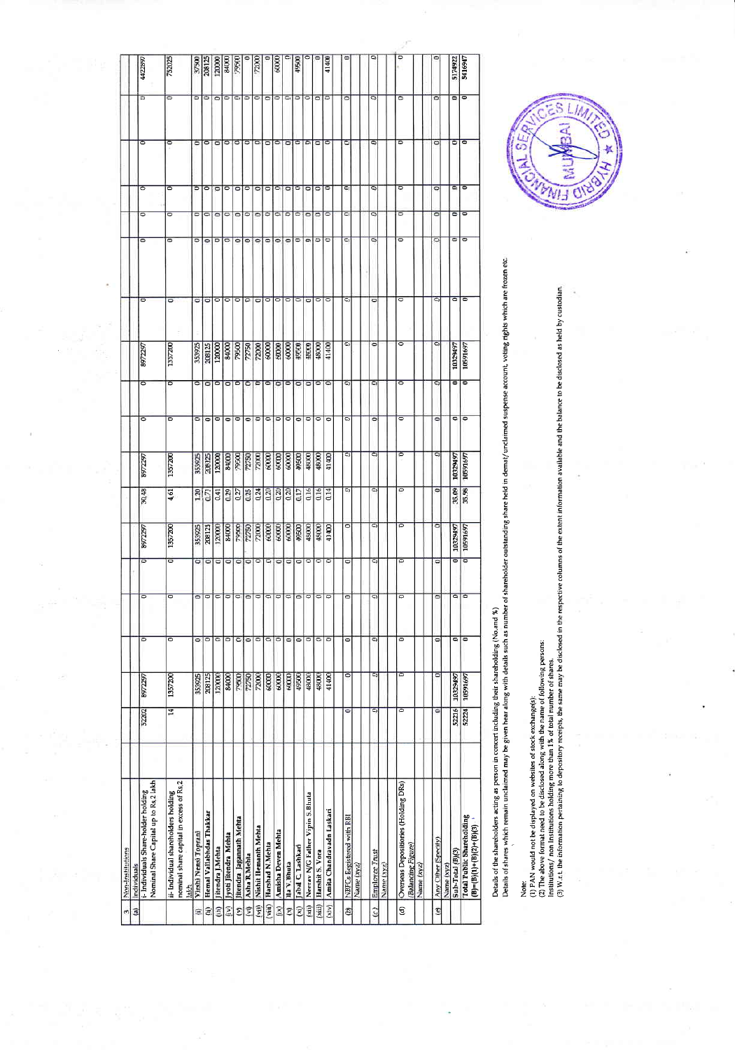| Non-Institutions<br>Individuals                                                         |       |          |                      |                          |                          |          |                   |          |                          |                    |                      |                          |                          |                      |                      |                          |                              |
|-----------------------------------------------------------------------------------------|-------|----------|----------------------|--------------------------|--------------------------|----------|-------------------|----------|--------------------------|--------------------|----------------------|--------------------------|--------------------------|----------------------|----------------------|--------------------------|------------------------------|
| Nominal Share Capital up to Rs.2 lakh<br>i- Individuals Share-holder holding            | 52202 | 8972297  | $\circ$              | $\circ$                  | ō                        | 8972297  | 30.48             | 8972297  | $\circ$                  | $\circ$            | 8972297              | $\overline{\phantom{a}}$ | $\overline{\phantom{0}}$ | $\overline{\circ}$   | $\circ$              | $\overline{\bullet}$     | 4422897<br>ਠ                 |
| nominal share capital in excess of Rs,2<br>ii- Individual shareholders holding<br>lakh. | ੜ     | 1357200  | $\overline{\bullet}$ | $\circ$                  | $\overline{\circ}$       | 1357200  | 4.61              | 1357200  | $\circ$                  | $\overline{\circ}$ | 1357200              | $\overline{\bullet}$     | $\overline{\bullet}$     | ਠ                    | $\circ$              | $\overline{\phantom{0}}$ | 752025<br>$\overline{\circ}$ |
| Virshi Nensi Toprani                                                                    |       | 353925   | $\circ$              | O                        | $\circ$                  | 353925   | 1.20              | 353925   | $\circ$                  | ۰                  | 353925               | ۵                        | $\circ$                  |                      | $\circ$              |                          | 37500                        |
| Hemal Vallabhdas Thakkar                                                                |       | 208125   | l0                   | $\overline{\phantom{a}}$ | $\circ$                  | 208125   | 0.71              | 208125   | $\circ$                  | ۰                  | 208125               | ö                        | $\circ$                  |                      | $\circ$              |                          | 208125                       |
| Jitendra J.Mehta                                                                        |       | 120000   | lo                   | $\circ$                  | $\circ$                  | 120000   | 0.41              | 120000   | $\circ$                  | $\circ$            | 120000               | $\circ$                  | $\circ$                  |                      |                      |                          | 120000                       |
| Jyoti Jitendra Mehta                                                                    |       | 84000    | lo                   | lo                       | $\circ$                  | 84000    | 0.29              | 84000    | $\circ$                  | $\circ$            | 84000                | $\circ$                  |                          | o                    | $\circ$              | $\circ$                  | 84000                        |
| Jitendra Jagannath Mehta                                                                |       | 79500    | $\circ$              | $\overline{\phantom{0}}$ | $\circ$                  | 79500    | 0.27              | 79500    | $\circ$                  | $\circ$            | 79500                | $\circ$                  | ۰                        | ۰                    | $\circ$              | $\circ$                  | 79500                        |
| Asha R Mehta                                                                            |       | 72750    | $\circ$              | $\circ$                  | $\circ$                  | 72750    | 0.25              | 72750    | $\circ$                  | $\circ$            |                      | $\circ$                  | ۰                        | ۰                    | $\circ$              | ۰                        |                              |
| Nishit Hemanth Mehta                                                                    |       | 72000    | lo                   | $\circ$                  | $\circ$                  | 72000    | 0.24              |          | lo                       | ∊                  | 72750                | ۰                        | ۰                        | ۰                    | ۰                    | $\circ$                  | 72000<br>0                   |
| Harshad N.Mehta                                                                         |       | 60000    | $\circ$              | $\circ$                  | ۰                        | 60000    | 0.20              | 60000    | $\circ$                  | ۰                  | 60000                | ۰                        | ۰                        | ۰                    | ۰                    | $\circ$                  | $\circ$                      |
| Amisha Deven Mehta                                                                      |       | 60000    | $\circ$              | $\circ$                  | $\circ$                  | 60000    | 0.20              | 60000    | $\circ$                  | ۰                  | 60000                | $\circ$                  | ۰                        | 0                    | $\circ$              | $\circ$                  | 60000<br>۰                   |
| Ila V.Bhuta                                                                             |       | 60000    | $\circ$              | $\circ$                  | $\circ$                  | 60000    | 0.20              | 60000    | $\circ$                  | $\circ$            | 60000                | $\circ$                  | ٥                        | $\circ$              | 0                    | ۰                        | $\circ$                      |
| Jabal C. Lashkari                                                                       |       | 49500    | $\circ$              | $\circ$                  | $\circ$                  | 49500    | 0.17              | 49500    | ۰                        | ۰                  | 49500                |                          | $\circ$                  | $\circ$              | $\circ$              | $\circ$                  | 49500<br>$\circ$             |
| Neerav N/G Father Vipin S. Bhuta                                                        |       | 48000    | $\circ$              | $\circ$                  | $\circ$                  | 48000    | 0.16              | 48000    | $\circ$                  | ۰                  | 48000                |                          | ۰                        | ۰                    | ۰                    | $\circ$                  | $\circ$                      |
| Harshit S. Vora                                                                         |       | 48000    | $\circ$              | $\circ$                  | $\circ$                  | 48000    | $\overline{0.16}$ | 48000    | $\circ$                  | 0                  | 48000                | $\mathbf{\overline{c}}$  |                          | $\circ$              | c                    | O                        | $\circ$                      |
| Amita Chandravadn Laskari                                                               |       | 41400    | $\circ$              | $\circ$                  | lc                       | 41400    | 0.14              | 41400    | $\overline{\phantom{a}}$ | $\circ$            | 41400                | $\circ$                  | C                        | $\overline{\circ}$   | $\overline{c}$       | $\circ$                  | 41400<br>$\circ$             |
| NBFCs Eegistered with RBI                                                               | ۰     | $\circ$  | ۰                    | $\circ$                  | $\circ$                  | $\circ$  | ۰                 | ٥        | $\overline{\circ}$       | ۰                  | ۰                    | ٥                        | ۰                        | ō                    | $\circ$              | ۵                        |                              |
| Name (xyz)                                                                              |       |          |                      |                          |                          |          |                   |          |                          |                    |                      |                          |                          |                      |                      |                          |                              |
| <b>Employee Trust</b>                                                                   | c     | ۰        | c                    | $\circ$                  | $\circ$                  | ۰        | $\epsilon$        | c        | ۰                        | ۰                  | c                    | c                        | c                        | $\bar{\circ}$        | $\circ$              | ٥                        | o                            |
| Name (xyz)                                                                              |       |          |                      |                          |                          |          |                   |          |                          |                    |                      |                          |                          |                      |                      |                          |                              |
| Overseas Depositiories (Holding DRs)<br>(Balancing Figure)                              | c     | Φ        | с                    | $\circ$                  | $\overline{\phantom{a}}$ | ۰        | ¢                 | D        | $\overline{\phantom{a}}$ | $\circ$            | $\overline{\bullet}$ | $\circ$                  | $\circ$                  | $\overline{\circ}$   | $\circ$              | $\circ$                  | $\overline{c}$               |
| Name (xyz)                                                                              |       |          |                      |                          |                          |          |                   |          |                          |                    |                      |                          |                          |                      |                      |                          |                              |
| Any Other (Specify)                                                                     |       | ۰        | ۰                    | ۰                        | $\circ$                  | c        | ۰                 | c        | ۰                        | c                  | o                    | $\circ$                  |                          | ۵                    | ۰                    | ٠                        |                              |
| Name (xyz)                                                                              |       |          |                      |                          |                          |          |                   |          |                          |                    |                      |                          |                          |                      |                      |                          |                              |
| Sub-Total (B)(3)                                                                        | 52216 | 10329497 | ¢                    | $\bullet$                | $\bullet$                | 10329497 | 35.09             | 10329497 | 0                        | 0                  | 10329497             | 0                        |                          | ۰                    | ۰                    | $\overline{\bullet}$     | 5174922                      |
| Total Public Shareholding<br>$(B) = (B)(1) + (B)(2) + (B)(3)$                           | 52224 | 10591697 | $\bullet$            | $\bullet$                | ᇹ                        | 10591697 | 35.98             | 10591697 | c                        | $\bullet$          | 10591697             | $\bullet$                | $\blacksquare$           | $\overline{\bullet}$ | $\overline{\bullet}$ | $\overline{\phantom{a}}$ | 5416947                      |

L

Details of the shareholders acting as person in concert including their shareholding (No.and %)<br>Details of shares which remain unclaimed may be given hear along with details such as number of shareholder outstanding share

Note:

(1) PAN would not be displayed on websites of stock exchange(s):<br>(2) The above format need to be disclosed along with the name of following persons:<br>Institutions/ non Institutions holding more than 1% of total number of sh



ä

į,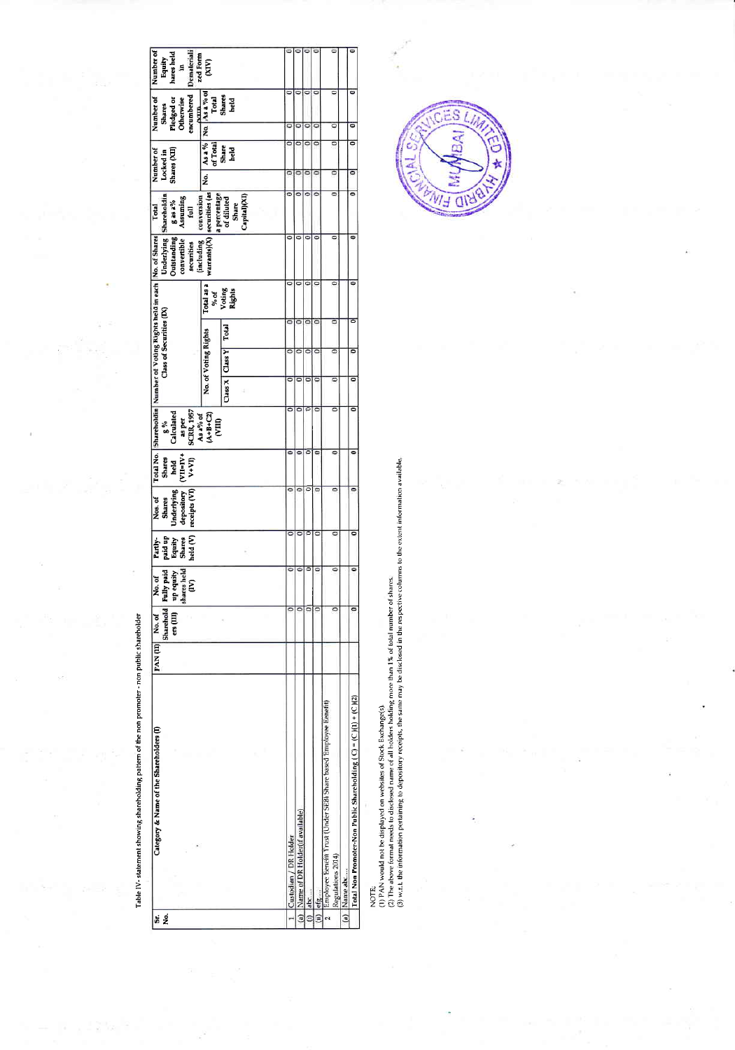| Category & Name of the Shareholders (I)                          | PAN(II) | Sharehold<br>ers (III)<br>No. of | up equity<br>shares held<br>Fully paid<br>No. of<br>ξ | paid up<br>Equity<br>Shares<br>Shares<br>held (V)<br>Partly- | receipts (VI) V+VI)<br>Underlying<br>depository<br>Nos. of<br><b>Shares</b> | $($ WI=IV+<br>Shares<br>held | as per<br>SCRR, 1957<br>As a% of<br>$\begin{bmatrix} 8\% \\ Calculated \end{bmatrix}$ |   |                      | Class of Securities (DX) | Total No.   Shareholdin   Number of Voting Rights held in each   No. of Shares<br>securities | Underlying Shareholdin<br>Outstanding gas a%<br>convertible Assuming<br><b>Total</b><br>full |        | Number of<br>Shares (XII)<br>Locked in | encumbered<br>Pledged or<br>Otherwise<br><b>Shares</b>                                                                                                                                                                                                                                                                                                                                                                                                                                      | Demateriali<br>Number of Number of | Equity<br>hares held<br>5 |
|------------------------------------------------------------------|---------|----------------------------------|-------------------------------------------------------|--------------------------------------------------------------|-----------------------------------------------------------------------------|------------------------------|---------------------------------------------------------------------------------------|---|----------------------|--------------------------|----------------------------------------------------------------------------------------------|----------------------------------------------------------------------------------------------|--------|----------------------------------------|---------------------------------------------------------------------------------------------------------------------------------------------------------------------------------------------------------------------------------------------------------------------------------------------------------------------------------------------------------------------------------------------------------------------------------------------------------------------------------------------|------------------------------------|---------------------------|
|                                                                  |         |                                  |                                                       |                                                              |                                                                             |                              |                                                                                       |   |                      |                          | (including                                                                                   | conversion                                                                                   |        |                                        |                                                                                                                                                                                                                                                                                                                                                                                                                                                                                             |                                    |                           |
|                                                                  |         |                                  |                                                       |                                                              |                                                                             |                              | $(A+B+C2)$<br>(VIII)                                                                  |   | No. of Voting Rights |                          | Total as a<br>% of                                                                           | warrants)(X)  securities (as<br>a percentage                                                 | e<br>2 |                                        |                                                                                                                                                                                                                                                                                                                                                                                                                                                                                             |                                    |                           |
|                                                                  |         |                                  |                                                       |                                                              |                                                                             |                              |                                                                                       |   | Class X   Class Y    | Total                    | Voting<br>Rights                                                                             | of diluted<br>Share                                                                          |        |                                        | $\begin{array}{c c c c} \hline \text{and } & \text{and } & \text{and} & \text{and} & \text{and} & \text{and} & \text{and} & \text{and} & \text{and} & \text{and} & \text{and} & \text{and} & \text{and} & \text{and} & \text{and} & \text{and} & \text{and} & \text{and} & \text{and} & \text{and} & \text{and} & \text{and} & \text{and} & \text{and} & \text{and} & \text{and} & \text{and} & \text{and} & \text{and} & \text{and} & \text{and} & \text{and} & \text{and} & \text{and} &$ |                                    |                           |
|                                                                  |         |                                  |                                                       |                                                              |                                                                             |                              |                                                                                       |   |                      |                          |                                                                                              | Capital)(XI)                                                                                 |        |                                        |                                                                                                                                                                                                                                                                                                                                                                                                                                                                                             |                                    |                           |
|                                                                  |         |                                  |                                                       |                                                              |                                                                             |                              |                                                                                       |   |                      |                          |                                                                                              |                                                                                              |        |                                        |                                                                                                                                                                                                                                                                                                                                                                                                                                                                                             |                                    |                           |
| Custodian / DR Holder                                            |         |                                  |                                                       |                                                              |                                                                             |                              |                                                                                       |   |                      |                          |                                                                                              |                                                                                              |        |                                        |                                                                                                                                                                                                                                                                                                                                                                                                                                                                                             |                                    |                           |
| Name of DR Holder(if available)                                  |         |                                  |                                                       |                                                              |                                                                             |                              |                                                                                       |   |                      |                          | o                                                                                            |                                                                                              |        |                                        |                                                                                                                                                                                                                                                                                                                                                                                                                                                                                             |                                    |                           |
| abc                                                              |         |                                  |                                                       | c                                                            |                                                                             |                              |                                                                                       |   |                      | ۰                        | ۰                                                                                            |                                                                                              |        |                                        | C                                                                                                                                                                                                                                                                                                                                                                                                                                                                                           |                                    |                           |
| efg                                                              |         |                                  |                                                       |                                                              | ō                                                                           |                              |                                                                                       |   | ö                    | ۰                        | o                                                                                            |                                                                                              |        | ٥                                      | 6                                                                                                                                                                                                                                                                                                                                                                                                                                                                                           |                                    |                           |
| Employee Eenefit Trust (Under SEBI Share based Employee Eenefit) |         |                                  |                                                       | c                                                            | $\overline{\phantom{a}}$                                                    |                              |                                                                                       |   | ō                    | ۵                        |                                                                                              |                                                                                              | ᇹ      | ᅙ<br>ō                                 | ō                                                                                                                                                                                                                                                                                                                                                                                                                                                                                           |                                    |                           |
| Regulations 2014)<br>Name abc                                    |         |                                  |                                                       |                                                              |                                                                             |                              |                                                                                       |   |                      |                          |                                                                                              |                                                                                              |        |                                        |                                                                                                                                                                                                                                                                                                                                                                                                                                                                                             |                                    |                           |
| Total Non Promoter-Non Public Shareholding (C) = (C)(1) + (C)(2) |         |                                  |                                                       | ۰                                                            | ۰                                                                           |                              |                                                                                       | c | ۰                    | ៑                        |                                                                                              | c                                                                                            | ៑      | ᇹ<br>$\overline{\phantom{a}}$          | ਫ                                                                                                                                                                                                                                                                                                                                                                                                                                                                                           |                                    |                           |

Table IV- statement showing shareholding pattern of the non promoter - non public shareholder

i.

ï

NOTE;<br>(2) PA above format nedes by disclosed name of Slock Exchange(s),<br>(2) PA above format needs to disclosed name of all holders holding more than 1% of total number of shares.<br>(3) w.r.t. the information pertaining to de